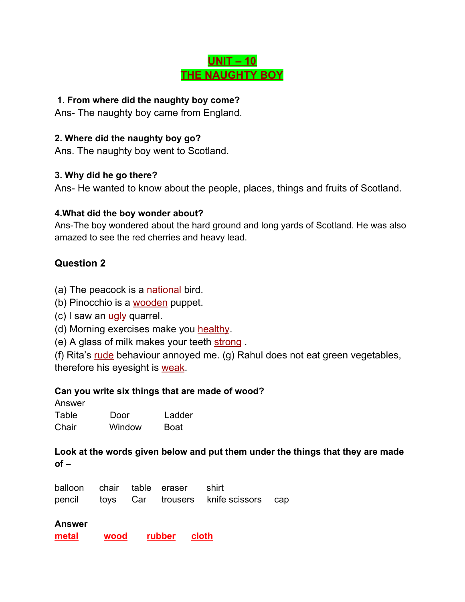## **UNIT – 10 THE NAUGHTY BOY**

#### **1. From where did the naughty boy come?**

Ans- The naughty boy came from England.

#### **2. Where did the naughty boy go?**

Ans. The naughty boy went to Scotland.

#### **3. Why did he go there?**

Ans- He wanted to know about the people, places, things and fruits of Scotland.

#### **4.What did the boy wonder about?**

Ans-The boy wondered about the hard ground and long yards of Scotland. He was also amazed to see the red cherries and heavy lead.

### **Question 2**

- (a) The peacock is a national bird.
- (b) Pinocchio is a wooden puppet.
- $(c)$  I saw an  $\frac{u}{u}$  quarrel.
- (d) Morning exercises make you healthy.
- (e) A glass of milk makes your teeth strong.

(f) Rita's rude behaviour annoyed me. (g) Rahul does not eat green vegetables, therefore his eyesight is weak.

#### **Can you write six things that are made of wood?**

Answer

| Table | Door   | Ladder      |
|-------|--------|-------------|
| Chair | Window | <b>Boat</b> |

**Look at the words given below and put them under the things that they are made of –**

|  | balloon chair table eraser shirt |                                             |  |
|--|----------------------------------|---------------------------------------------|--|
|  |                                  | pencil toys Car trousers knife scissors cap |  |

#### **Answer**

**metal wood rubber cloth**